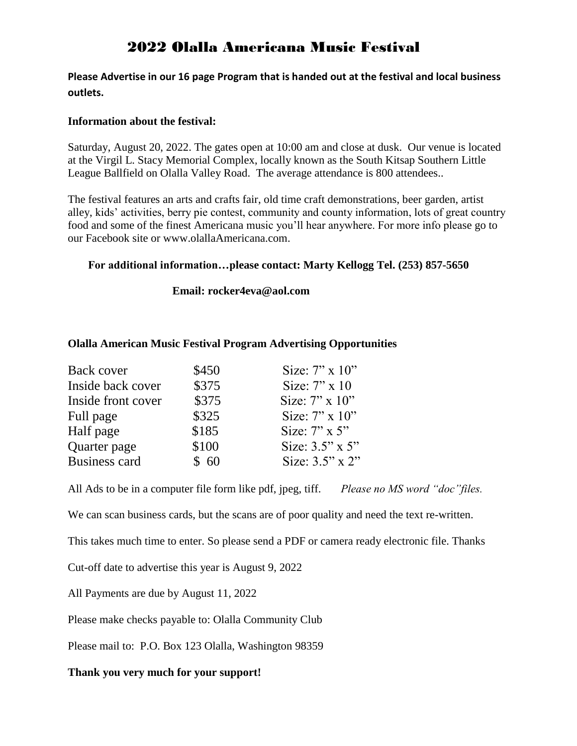# 2022 Olalla Americana Music Festival

**Please Advertise in our 16 page Program that is handed out at the festival and local business outlets.**

## **Information about the festival:**

Saturday, August 20, 2022. The gates open at 10:00 am and close at dusk. Our venue is located at the Virgil L. Stacy Memorial Complex, locally known as the South Kitsap Southern Little League Ballfield on Olalla Valley Road. The average attendance is 800 attendees..

The festival features an arts and crafts fair, old time craft demonstrations, beer garden, artist alley, kids' activities, berry pie contest, community and county information, lots of great country food and some of the finest Americana music you'll hear anywhere. For more info please go to our Facebook site or www.olallaAmericana.com.

## **For additional information…please contact: Marty Kellogg Tel. (253) 857-5650**

### **Email: [rocker4eva@aol.com](mailto:rocker4eva@aol.com)**

### **Olalla American Music Festival Program Advertising Opportunities**

| Back cover           | \$450 | Size: $7$ " x $10$ "  |
|----------------------|-------|-----------------------|
| Inside back cover    | \$375 | Size: $7" \times 10$  |
| Inside front cover   | \$375 | Size: $7" \times 10"$ |
| Full page            | \$325 | Size: $7$ " x $10$ "  |
| Half page            | \$185 | Size: $7$ " x $5$ "   |
| Quarter page         | \$100 | Size: $3.5$ " x $5$ " |
| <b>Business card</b> | \$60  | Size: $3.5$ " x $2$ " |

All Ads to be in a computer file form like pdf, jpeg, tiff. *Please no MS word "doc"files.*

We can scan business cards, but the scans are of poor quality and need the text re-written.

This takes much time to enter. So please send a PDF or camera ready electronic file. Thanks

Cut-off date to advertise this year is August 9, 2022

All Payments are due by August 11, 2022

Please make checks payable to: Olalla Community Club

Please mail to: P.O. Box 123 Olalla, Washington 98359

#### **Thank you very much for your support!**